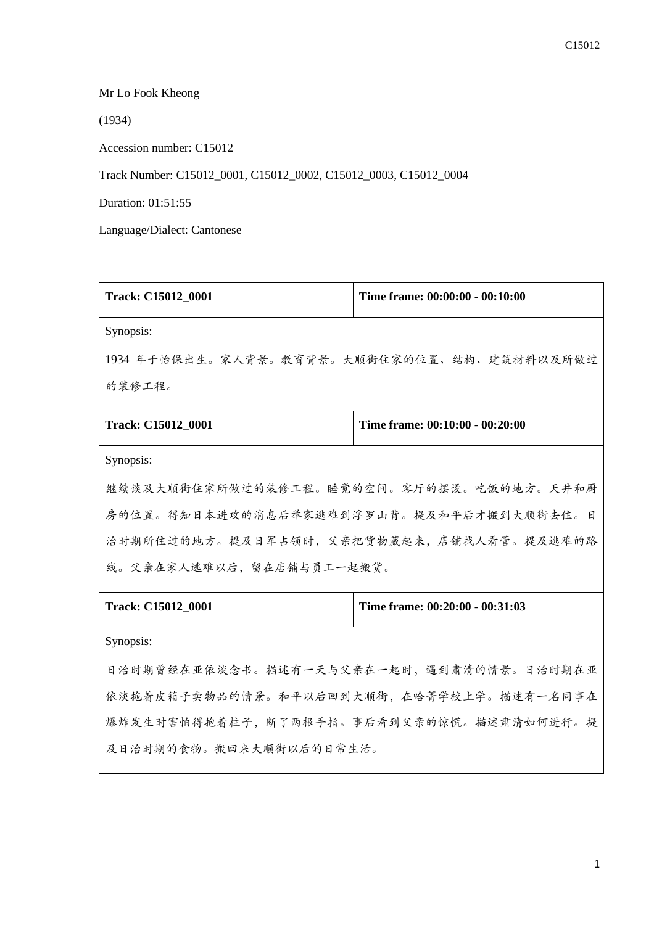Mr Lo Fook Kheong

(1934)

Accession number: C15012

Track Number: C15012\_0001, C15012\_0002, C15012\_0003, C15012\_0004

Duration: 01:51:55

Language/Dialect: Cantonese

| Track: C15012_0001                          | Time frame: 00:00:00 - 00:10:00 |  |  |
|---------------------------------------------|---------------------------------|--|--|
| Synopsis:                                   |                                 |  |  |
| 1934 年于怡保出生。家人背景。教育背景。大顺街住家的位置、结构、建筑材料以及所做过 |                                 |  |  |
| 的装修工程。                                      |                                 |  |  |
| Track: C15012_0001                          | Time frame: 00:10:00 - 00:20:00 |  |  |
| Synopsis:                                   |                                 |  |  |
| 继续谈及大顺街住家所做过的装修工程。睡觉的空间。客厅的摆设。吃饭的地方。天井和厨    |                                 |  |  |
| 房的位置。得知日本进攻的消息后举家逃难到浮罗山背。提及和平后才搬到大顺街去住。日    |                                 |  |  |
| 治时期所住过的地方。提及日军占领时,父亲把货物藏起来,店铺找人看管。提及逃难的路    |                                 |  |  |
| 线。父亲在家人逃难以后,留在店铺与员工一起搬货。                    |                                 |  |  |
| Track: C15012_0001                          | Time frame: 00:20:00 - 00:31:03 |  |  |
| Synopsis:                                   |                                 |  |  |
| 日治时期曾经在亚依淡念书。描述有一天与父亲在一起时,遇到肃清的情景。日治时期在亚    |                                 |  |  |
| 依淡拖着皮箱子卖物品的情景。和平以后回到大顺街,在哈菁学校上学。描述有一名同事在    |                                 |  |  |
| 爆炸发生时害怕得抱着柱子,断了两根手指。事后看到父亲的惊慌。描述肃清如何进行。提    |                                 |  |  |

及日治时期的食物。搬回来大顺街以后的日常生活。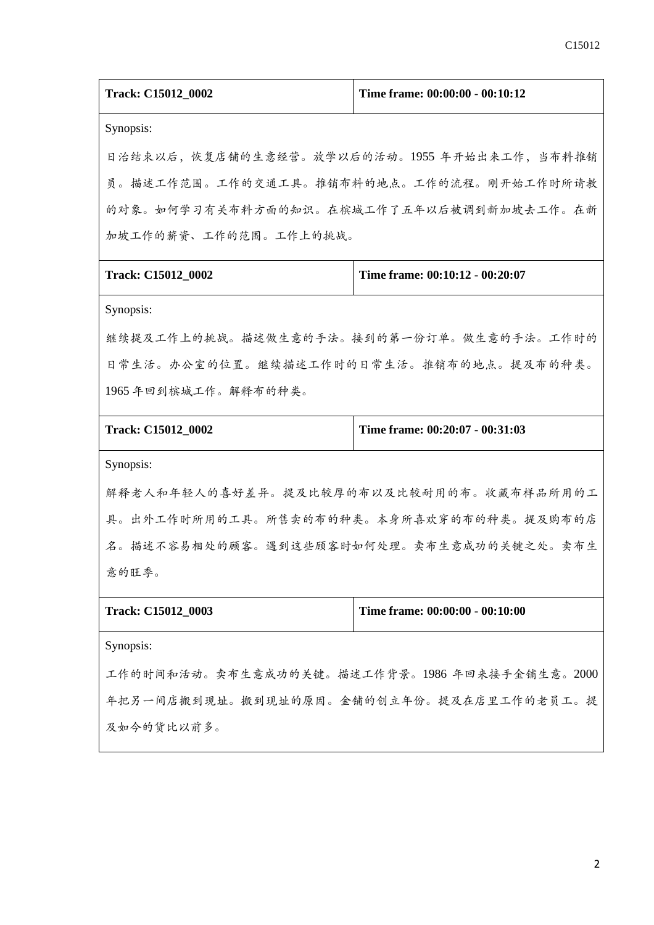| <b>Track: C15012 0002</b> | Time frame: 00:00:00 - 00:10:12 |
|---------------------------|---------------------------------|
|                           |                                 |

Synopsis:

日治结束以后,恢复店铺的生意经营。放学以后的活动。1955 年开始出来工作,当布料推销 员。描述工作范围。工作的交通工具。推销布料的地点。工作的流程。刚开始工作时所请教 的对象。如何学习有关布料方面的知识。在槟城工作了五年以后被调到新加坡去工作。在新 加坡工作的薪资、工作的范围。工作上的挑战。

|  | Track: C15012 0002 |  |
|--|--------------------|--|
|--|--------------------|--|

**Time frame: 00:10:12 - 00:20:07** 

Synopsis:

继续提及工作上的挑战。描述做生意的手法。接到的第一份订单。做生意的手法。工作时的 日常生活。办公室的位置。继续描述工作时的日常生活。推销布的地点。提及布的种类。 1965 年回到槟城工作。解释布的种类。

**Track: C15012\_0002 Time frame: 00:20:07 - 00:31:03**

Synopsis:

解释老人和年轻人的喜好差异。提及比较厚的布以及比较耐用的布。收藏布样品所用的工 具。出外工作时所用的工具。所售卖的布的种类。本身所喜欢穿的布的种类。提及购布的店 名。描述不容易相处的顾客。遇到这些顾客时如何处理。卖布生意成功的关键之处。卖布生 意的旺季。

**Track: C15012\_0003 Time frame: 00:00:00 - 00:10:00**

Synopsis:

工作的时间和活动。卖布生意成功的关键。描述工作背景。1986 年回来接手金铺生意。2000 年把另一间店搬到现址。搬到现址的原因。金铺的创立年份。提及在店里工作的老员工。提 及如今的货比以前多。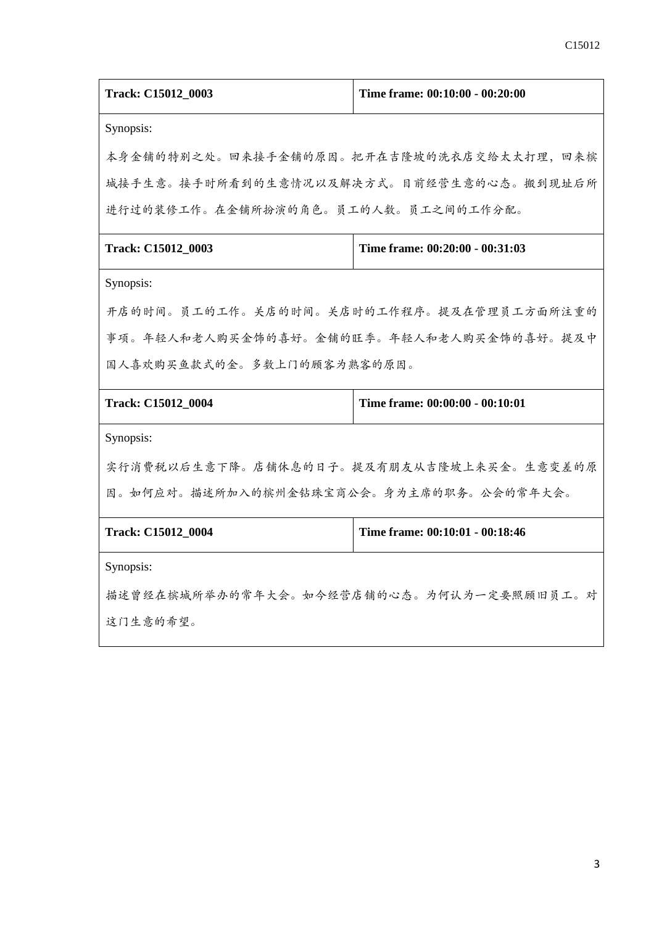| Track: C15012_0003                       | Time frame: 00:10:00 - 00:20:00          |  |  |
|------------------------------------------|------------------------------------------|--|--|
| Synopsis:                                |                                          |  |  |
|                                          | 本身金铺的特别之处。回来接手金铺的原因。把开在吉隆坡的洗衣店交给太太打理,回来槟 |  |  |
|                                          | 城接手生意。接手时所看到的生意情况以及解决方式。目前经营生意的心态。搬到现址后所 |  |  |
| 进行过的装修工作。在金铺所扮演的角色。员工的人数。员工之间的工作分配。      |                                          |  |  |
| Track: C15012_0003                       | Time frame: 00:20:00 - 00:31:03          |  |  |
| Synopsis:                                |                                          |  |  |
| 开店的时间。员工的工作。关店的时间。关店时的工作程序。提及在管理员工方面所注重的 |                                          |  |  |
| 事项。年轻人和老人购买金饰的喜好。金铺的旺季。年轻人和老人购买金饰的喜好。提及中 |                                          |  |  |
| 国人喜欢购买鱼款式的金。多数上门的顾客为熟客的原因。               |                                          |  |  |
| Track: C15012_0004                       | Time frame: 00:00:00 - 00:10:01          |  |  |
| Synopsis:                                |                                          |  |  |
| 实行消费税以后生意下降。店铺休息的日子。提及有朋友从吉隆坡上来买金。生意变差的原 |                                          |  |  |
| 因。如何应对。描述所加入的槟州金钻珠宝商公会。身为主席的职务。公会的常年大会。  |                                          |  |  |
| Track: C15012_0004                       | Time frame: 00:10:01 - 00:18:46          |  |  |
| Synopsis:                                |                                          |  |  |
| 描述曾经在槟城所举办的常年大会。如今经营店铺的心态。为何认为一定要照顾旧员工。对 |                                          |  |  |
| 这门生意的希望。                                 |                                          |  |  |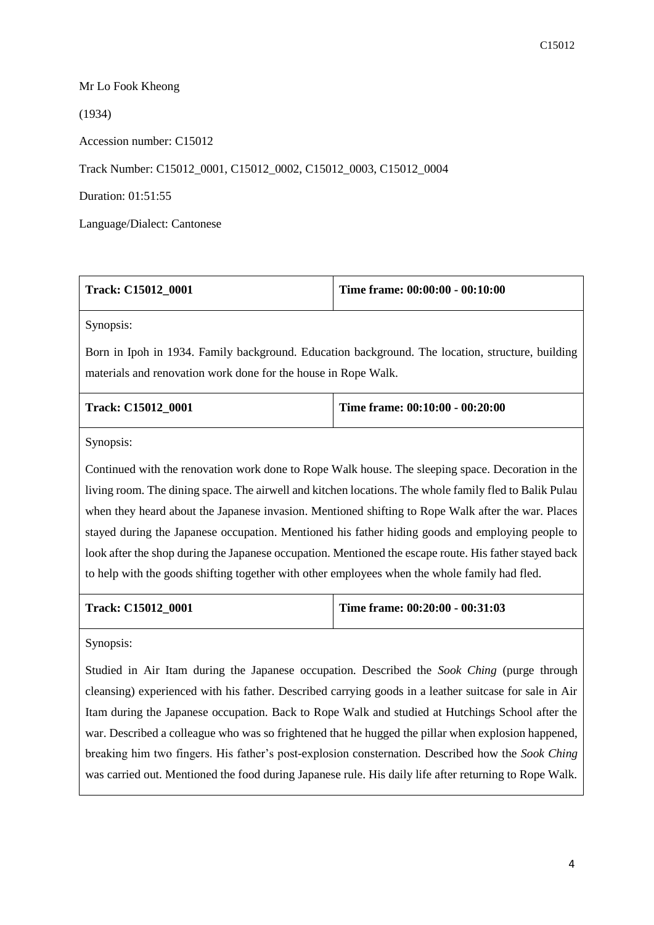## Mr Lo Fook Kheong

(1934)

Accession number: C15012

Track Number: C15012\_0001, C15012\_0002, C15012\_0003, C15012\_0004

Duration: 01:51:55

Language/Dialect: Cantonese

| Time frame: 00:00:00 - 00:10:00<br>Track: C15012_0001                                                                                                              |  |  |  |
|--------------------------------------------------------------------------------------------------------------------------------------------------------------------|--|--|--|
| Synopsis:                                                                                                                                                          |  |  |  |
| Born in Ipoh in 1934. Family background. Education background. The location, structure, building<br>materials and renovation work done for the house in Rope Walk. |  |  |  |
|                                                                                                                                                                    |  |  |  |

| <b>Track: C15012 0001</b> | Time frame: $00:10:00 - 00:20:00$ |
|---------------------------|-----------------------------------|
|                           |                                   |

Synopsis:

Continued with the renovation work done to Rope Walk house. The sleeping space. Decoration in the living room. The dining space. The airwell and kitchen locations. The whole family fled to Balik Pulau when they heard about the Japanese invasion. Mentioned shifting to Rope Walk after the war. Places stayed during the Japanese occupation. Mentioned his father hiding goods and employing people to look after the shop during the Japanese occupation. Mentioned the escape route. His father stayed back to help with the goods shifting together with other employees when the whole family had fled.

|  | <b>Track: C15012 0001</b> |  |
|--|---------------------------|--|
|--|---------------------------|--|

**Track: C15012\_0001 Time frame: 00:20:00 - 00:31:03**

Synopsis:

Studied in Air Itam during the Japanese occupation. Described the *Sook Ching* (purge through cleansing) experienced with his father. Described carrying goods in a leather suitcase for sale in Air Itam during the Japanese occupation. Back to Rope Walk and studied at Hutchings School after the war. Described a colleague who was so frightened that he hugged the pillar when explosion happened, breaking him two fingers. His father's post-explosion consternation. Described how the *Sook Ching* was carried out. Mentioned the food during Japanese rule. His daily life after returning to Rope Walk.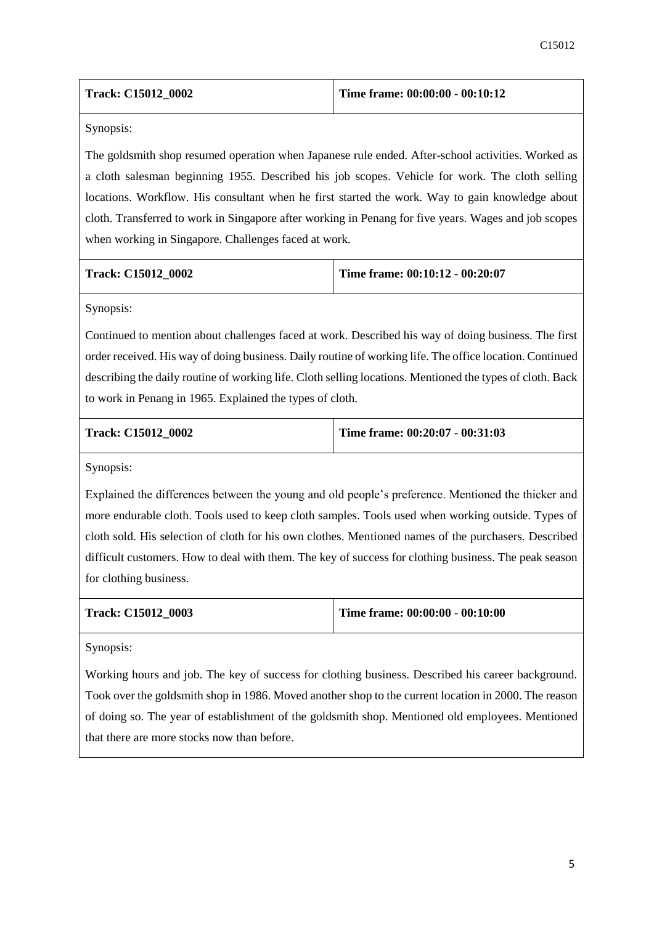| Track: C15012 0002 | Time frame: $00:00:00 - 00:10:12$ |
|--------------------|-----------------------------------|
|--------------------|-----------------------------------|

Synopsis:

The goldsmith shop resumed operation when Japanese rule ended. After-school activities. Worked as a cloth salesman beginning 1955. Described his job scopes. Vehicle for work. The cloth selling locations. Workflow. His consultant when he first started the work. Way to gain knowledge about cloth. Transferred to work in Singapore after working in Penang for five years. Wages and job scopes when working in Singapore. Challenges faced at work.

|  |  | Track: C15012 0002 |  |  |
|--|--|--------------------|--|--|
|--|--|--------------------|--|--|

**Time frame: 00:10:12 - 00:20:07** 

Synopsis:

Continued to mention about challenges faced at work. Described his way of doing business. The first order received. His way of doing business. Daily routine of working life. The office location. Continued describing the daily routine of working life. Cloth selling locations. Mentioned the types of cloth. Back to work in Penang in 1965. Explained the types of cloth.

**Track: C15012\_0002 Time frame: 00:20:07 - 00:31:03**

Synopsis:

Explained the differences between the young and old people's preference. Mentioned the thicker and more endurable cloth. Tools used to keep cloth samples. Tools used when working outside. Types of cloth sold. His selection of cloth for his own clothes. Mentioned names of the purchasers. Described difficult customers. How to deal with them. The key of success for clothing business. The peak season for clothing business.

|  | Track: C15012 0003 |  |
|--|--------------------|--|
|--|--------------------|--|

**Time frame: 00:00:00 - 00:10:00** 

Synopsis:

Working hours and job. The key of success for clothing business. Described his career background. Took over the goldsmith shop in 1986. Moved another shop to the current location in 2000. The reason of doing so. The year of establishment of the goldsmith shop. Mentioned old employees. Mentioned that there are more stocks now than before.